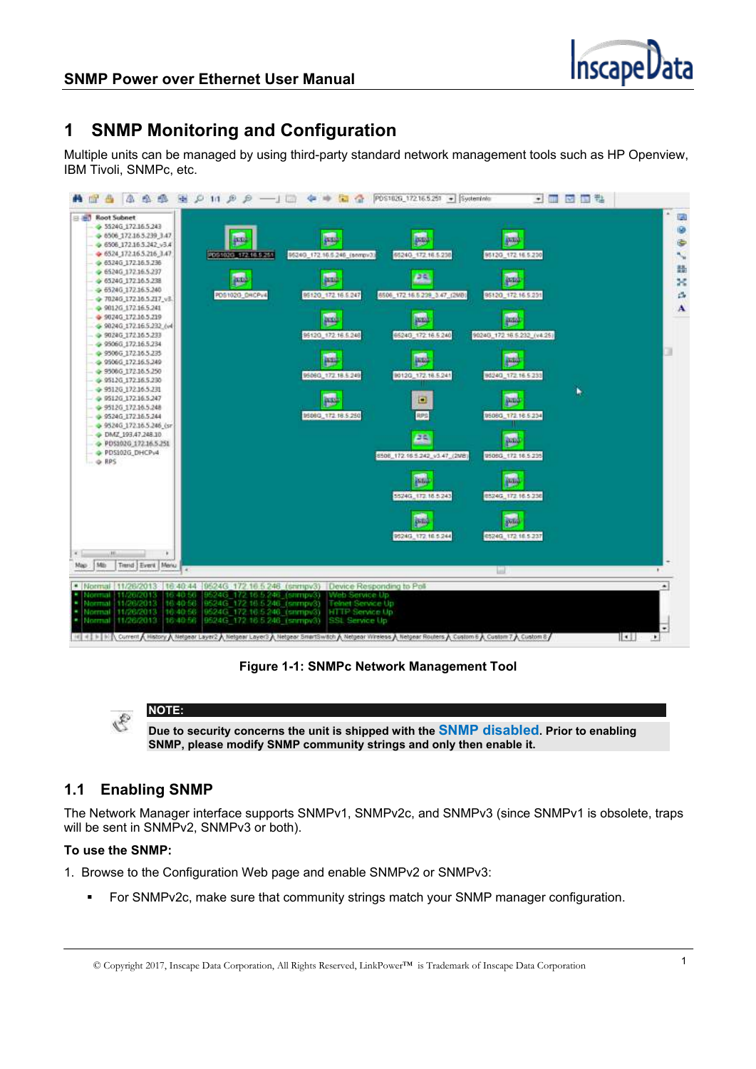

# **1 SNMP Monitoring and Configuration**

Multiple units can be managed by using third-party standard network management tools such as HP Openview, IBM Tivoli, SNMPc, etc.



**Figure 1-1: SNMPc Network Management Tool** 

**NOTE:**  $\mathcal{Z}_{\mathcal{Y}}%{\boldsymbol{\mu}}= \mathcal{Z}_{\mathcal{Y}}%{\boldsymbol{\mu}}$ **Due to security concerns the unit is shipped with the SNMP disabled. Prior to enabling SNMP, please modify SNMP community strings and only then enable it.**

### **1.1 Enabling SNMP**

The Network Manager interface supports SNMPv1, SNMPv2c, and SNMPv3 (since SNMPv1 is obsolete, traps will be sent in SNMPv2, SNMPv3 or both).

#### **To use the SNMP:**

- 1. Browse to the Configuration Web page and enable SNMPv2 or SNMPv3:
	- For SNMPv2c, make sure that community strings match your SNMP manager configuration.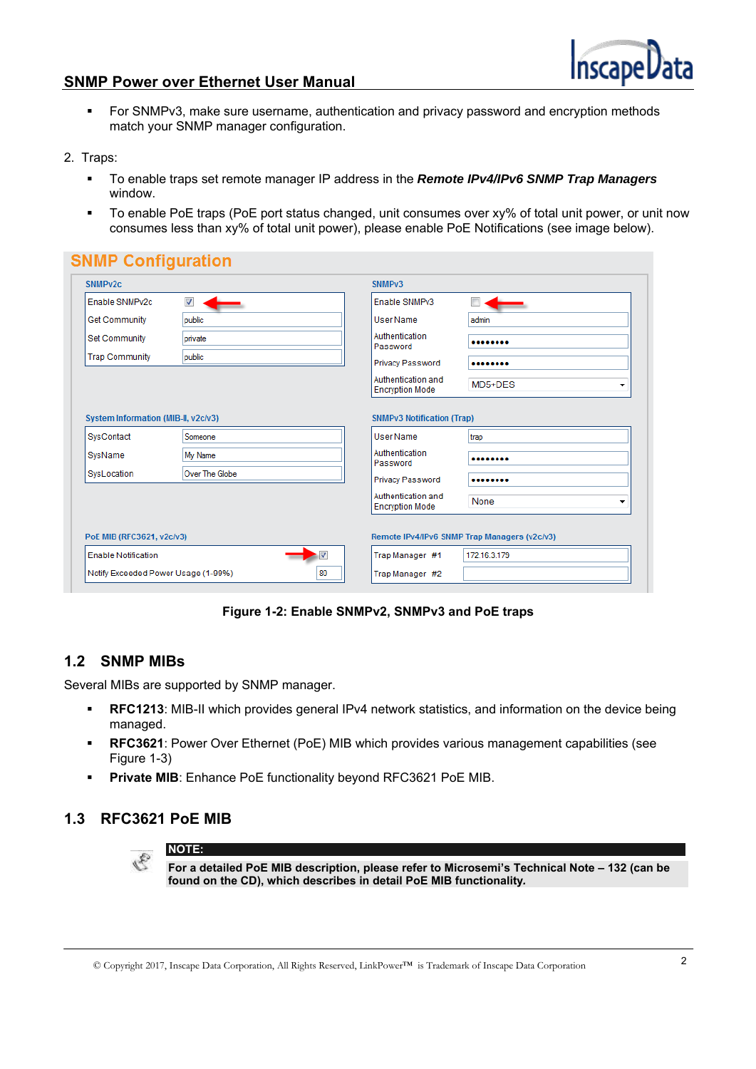#### **SNMP Power over Ethernet User Manual**



- For SNMPv3, make sure username, authentication and privacy password and encryption methods match your SNMP manager configuration.
- 2. Traps:
	- To enable traps set remote manager IP address in the *Remote IPv4/IPv6 SNMP Trap Managers* window.
	- To enable PoE traps (PoE port status changed, unit consumes over xy% of total unit power, or unit now consumes less than xy% of total unit power), please enable PoE Notifications (see image below).

| SNMP <sub>v2c</sub>                                     |                         | SNMP <sub>v3</sub>                           |                                              |  |
|---------------------------------------------------------|-------------------------|----------------------------------------------|----------------------------------------------|--|
| Enable SNMPv2c                                          | $\overline{\mathbf{v}}$ | Enable SNMPv3                                |                                              |  |
| <b>Get Community</b>                                    | public                  | <b>User Name</b>                             | admin                                        |  |
| <b>Set Community</b>                                    | private                 | Authentication<br>Password                   |                                              |  |
| <b>Trap Community</b>                                   | public                  | Privacy Password                             |                                              |  |
|                                                         |                         | Authentication and<br><b>Encryption Mode</b> | MD5+DES<br>▼                                 |  |
| <b>System Information (MIB-II, v2c/v3)</b>              |                         | <b>SNMPv3 Notification (Trap)</b>            |                                              |  |
| SysContact                                              | Someone                 | <b>User Name</b>                             | trap                                         |  |
| SysName                                                 | My Name                 | Authentication<br>Password                   |                                              |  |
| SysLocation                                             | Over The Globe          | <b>Privacy Password</b>                      |                                              |  |
|                                                         |                         | Authentication and<br><b>Encryption Mode</b> | None<br>▼                                    |  |
|                                                         |                         |                                              | Remote IPv4/IPv6 SNMP Trap Managers (v2c/v3) |  |
|                                                         |                         |                                              |                                              |  |
| PoE MIB (RFC3621, v2c/v3)<br><b>Enable Notification</b> |                         | $\overline{\mathsf{v}}$<br>Trap Manager #1   | 172.16.3.179                                 |  |

**Figure 1-2: Enable SNMPv2, SNMPv3 and PoE traps** 

# **1.2 SNMP MIBs**

Several MIBs are supported by SNMP manager.

- **RFC1213**: MIB-II which provides general IPv4 network statistics, and information on the device being managed.
- **RFC3621**: Power Over Ethernet (PoE) MIB which provides various management capabilities (see Figure 1-3)
- **Private MIB:** Enhance PoE functionality beyond RFC3621 PoE MIB.

### **1.3 RFC3621 PoE MIB**



**NOTE:**

**For a detailed PoE MIB description, please refer to Microsemi's Technical Note – 132 (can be found on the CD), which describes in detail PoE MIB functionality***.*